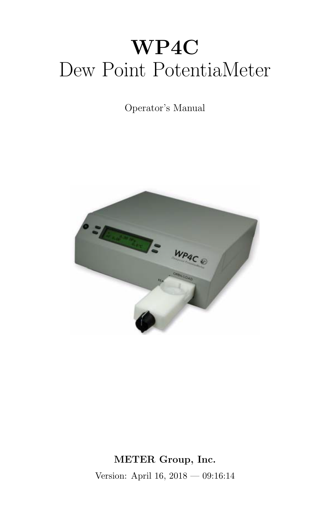# WP4C Dew Point PotentiaMeter

# Operator's Manual



METER Group, Inc. Version: April 16, 2018 — 09:16:14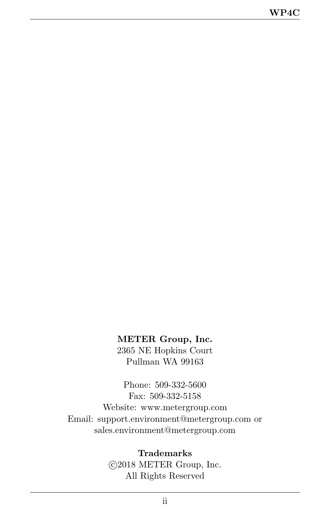#### <span id="page-1-0"></span>METER Group, Inc.

2365 NE Hopkins Court Pullman WA 99163

Phone: 509-332-5600 Fax: 509-332-5158 Website: www.metergroup.com Email: support.environment@metergroup.com or sales.environment@metergroup.com

#### Trademarks

 c 2018 METER Group, Inc. All Rights Reserved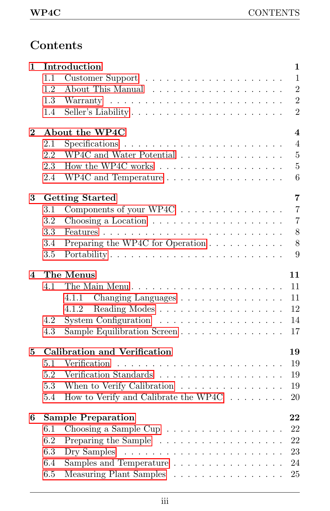# Contents

| 1        |                                           | Introduction                                                       | 1                       |  |  |  |  |  |  |
|----------|-------------------------------------------|--------------------------------------------------------------------|-------------------------|--|--|--|--|--|--|
|          | 1.1                                       |                                                                    | $\mathbf{1}$            |  |  |  |  |  |  |
|          | 1.2                                       |                                                                    | $\overline{2}$          |  |  |  |  |  |  |
|          | 1.3                                       |                                                                    | $\overline{2}$          |  |  |  |  |  |  |
|          | 1.4                                       | Seller's Liability                                                 | $\overline{2}$          |  |  |  |  |  |  |
| $\bf{2}$ |                                           | About the WP4C                                                     | $\overline{\mathbf{4}}$ |  |  |  |  |  |  |
|          | 2.1                                       |                                                                    | $\overline{4}$          |  |  |  |  |  |  |
|          | 2.2                                       | WP4C and Water Potential $\ldots \ldots \ldots \ldots \ldots$      | $\overline{5}$          |  |  |  |  |  |  |
|          | 2.3                                       | How the WP4C works                                                 | $\overline{5}$          |  |  |  |  |  |  |
|          | 2.4                                       |                                                                    | 6                       |  |  |  |  |  |  |
| 3        |                                           | <b>Getting Started</b>                                             | $\overline{7}$          |  |  |  |  |  |  |
|          | 3.1                                       | Components of your WP4C                                            | $\overline{7}$          |  |  |  |  |  |  |
|          | 3.2                                       |                                                                    | $\overline{7}$          |  |  |  |  |  |  |
|          | 3.3                                       |                                                                    | 8                       |  |  |  |  |  |  |
|          | 3.4                                       | Preparing the WP4C for Operation                                   | 8                       |  |  |  |  |  |  |
|          | 3.5                                       |                                                                    | 9                       |  |  |  |  |  |  |
| 4        |                                           | The Menus                                                          | 11                      |  |  |  |  |  |  |
|          | 4.1                                       |                                                                    | 11                      |  |  |  |  |  |  |
|          |                                           | 4.1.1<br>Changing Languages                                        | 11                      |  |  |  |  |  |  |
|          |                                           | 4.1.2                                                              | 12                      |  |  |  |  |  |  |
|          | 4.2                                       | System Configuration $\dots \dots \dots \dots \dots \dots$         | 14                      |  |  |  |  |  |  |
|          | 4.3                                       | Sample Equilibration Screen                                        | 17                      |  |  |  |  |  |  |
| 5        | <b>Calibration and Verification</b><br>19 |                                                                    |                         |  |  |  |  |  |  |
|          | 5.1                                       | Verification                                                       | 19                      |  |  |  |  |  |  |
|          | 5.2                                       | Verification Standards $\ldots \ldots \ldots \ldots \ldots \ldots$ | 19                      |  |  |  |  |  |  |
|          | 5.3                                       | When to Verify Calibration                                         | 19                      |  |  |  |  |  |  |
|          | 5.4                                       | How to Verify and Calibrate the WP4C $\dots \dots$                 | 20                      |  |  |  |  |  |  |
| 6        | <b>Sample Preparation</b><br>22           |                                                                    |                         |  |  |  |  |  |  |
|          | 6.1                                       | Choosing a Sample Cup $\ldots \ldots \ldots \ldots \ldots$         | 22                      |  |  |  |  |  |  |
|          | 6.2                                       |                                                                    | 22                      |  |  |  |  |  |  |
|          | 6.3                                       |                                                                    | 23                      |  |  |  |  |  |  |
|          | 6.4                                       | Samples and Temperature $\dots \dots \dots \dots \dots$            | 24                      |  |  |  |  |  |  |
|          | 6.5                                       | Measuring Plant Samples                                            | 25                      |  |  |  |  |  |  |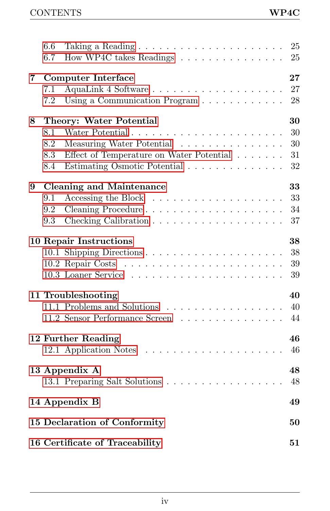|   | 6.6 |                                                                                                    | 25 |
|---|-----|----------------------------------------------------------------------------------------------------|----|
|   | 6.7 | How WP4C takes Readings $\ldots \ldots \ldots \ldots \ldots$                                       | 25 |
|   |     |                                                                                                    |    |
| 7 |     | <b>Computer Interface</b>                                                                          | 27 |
|   | 7.1 | AquaLink 4 Software                                                                                | 27 |
|   | 7.2 | Using a Communication Program                                                                      | 28 |
| 8 |     | Theory: Water Potential                                                                            | 30 |
|   | 8.1 |                                                                                                    | 30 |
|   | 8.2 | Measuring Water Potential                                                                          | 30 |
|   | 8.3 | Effect of Temperature on Water Potential                                                           | 31 |
|   | 8.4 | Estimating Osmotic Potential                                                                       | 32 |
|   |     |                                                                                                    | 33 |
| 9 | 9.1 | <b>Cleaning and Maintenance</b><br>Accessing the Block $\dots \dots \dots \dots \dots \dots \dots$ | 33 |
|   | 9.2 | Cleaning Procedure                                                                                 | 34 |
|   | 9.3 |                                                                                                    | 37 |
|   |     |                                                                                                    |    |
|   |     | <b>10 Repair Instructions</b>                                                                      | 38 |
|   |     |                                                                                                    | 38 |
|   |     |                                                                                                    | 39 |
|   |     |                                                                                                    | 39 |
|   |     | 11 Troubleshooting                                                                                 | 40 |
|   |     | 11.1 Problems and Solutions                                                                        | 40 |
|   |     | 11.2 Sensor Performance Screen                                                                     | 44 |
|   |     |                                                                                                    |    |
|   |     | 12 Further Reading                                                                                 | 46 |
|   |     |                                                                                                    | 46 |
|   |     | 13 Appendix A                                                                                      | 48 |
|   |     | 13.1 Preparing Salt Solutions                                                                      | 48 |
|   |     |                                                                                                    |    |
|   |     | 14 Appendix B                                                                                      | 49 |
|   |     | 15 Declaration of Conformity                                                                       | 50 |
|   |     | 16 Certificate of Traceability                                                                     | 51 |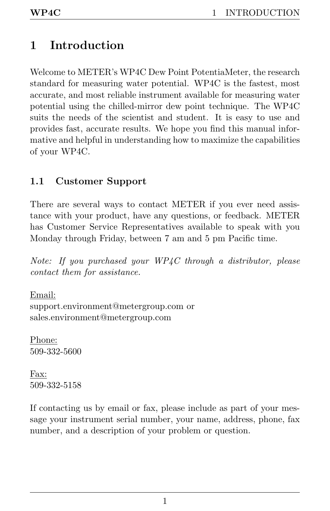# <span id="page-4-2"></span><span id="page-4-0"></span>1 Introduction

Welcome to METER's WP4C Dew Point PotentiaMeter, the research standard for measuring water potential. WP4C is the fastest, most accurate, and most reliable instrument available for measuring water potential using the chilled-mirror dew point technique. The WP4C suits the needs of the scientist and student. It is easy to use and provides fast, accurate results. We hope you find this manual informative and helpful in understanding how to maximize the capabilities of your WP4C.

# <span id="page-4-1"></span>1.1 Customer Support

There are several ways to contact METER if you ever need assistance with your product, have any questions, or feedback. METER has Customer Service Representatives available to speak with you Monday through Friday, between 7 am and 5 pm Pacific time.

Note: If you purchased your WP4C through a distributor, please contact them for assistance.

Email: support.environment@metergroup.com or sales.environment@metergroup.com

Phone: 509-332-5600

Fax: 509-332-5158

If contacting us by email or fax, please include as part of your message your instrument serial number, your name, address, phone, fax number, and a description of your problem or question.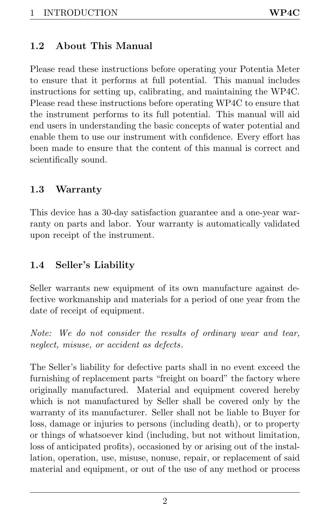# <span id="page-5-3"></span><span id="page-5-0"></span>1.2 About This Manual

Please read these instructions before operating your Potentia Meter to ensure that it performs at full potential. This manual includes instructions for setting up, calibrating, and maintaining the WP4C. Please read these instructions before operating WP4C to ensure that the instrument performs to its full potential. This manual will aid end users in understanding the basic concepts of water potential and enable them to use our instrument with confidence. Every effort has been made to ensure that the content of this manual is correct and scientifically sound.

# <span id="page-5-1"></span>1.3 Warranty

This device has a 30-day satisfaction guarantee and a one-year warranty on parts and labor. Your warranty is automatically validated upon receipt of the instrument.

# <span id="page-5-2"></span>1.4 Seller's Liability

Seller warrants new equipment of its own manufacture against defective workmanship and materials for a period of one year from the date of receipt of equipment.

Note: We do not consider the results of ordinary wear and tear, neglect, misuse, or accident as defects.

The Seller's liability for defective parts shall in no event exceed the furnishing of replacement parts "freight on board" the factory where originally manufactured. Material and equipment covered hereby which is not manufactured by Seller shall be covered only by the warranty of its manufacturer. Seller shall not be liable to Buyer for loss, damage or injuries to persons (including death), or to property or things of whatsoever kind (including, but not without limitation, loss of anticipated profits), occasioned by or arising out of the installation, operation, use, misuse, nonuse, repair, or replacement of said material and equipment, or out of the use of any method or process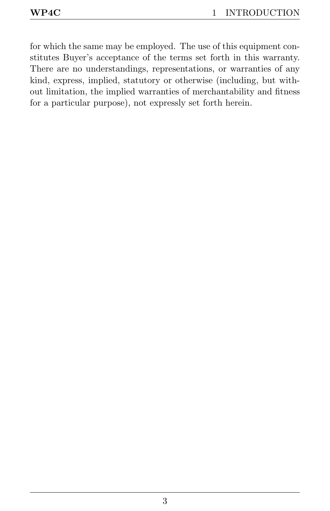for which the same may be employed. The use of this equipment constitutes Buyer's acceptance of the terms set forth in this warranty. There are no understandings, representations, or warranties of any kind, express, implied, statutory or otherwise (including, but without limitation, the implied warranties of merchantability and fitness for a particular purpose), not expressly set forth herein.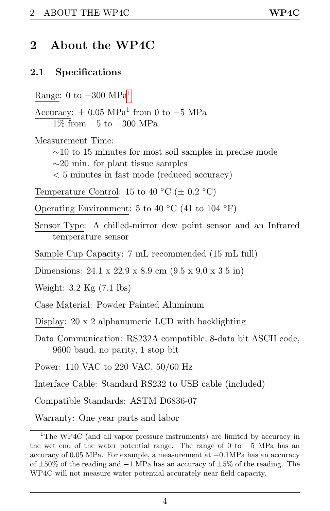# <span id="page-7-3"></span><span id="page-7-0"></span>2 About the WP4C

#### <span id="page-7-1"></span>2.1 Specifications

Range: 0 to  $-300$  MPa<sup>[1](#page-7-2)</sup>

Accuracy:  $\pm$  0.05 MPa<sup>1</sup> from 0 to -5 MPa  $1\%$  from  $-5$  to  $-300$  MPa

Measurement Time:

 $\sim$ 10 to 15 minutes for most soil samples in precise mode

 $\sim$ 20 min. for plant tissue samples

< 5 minutes in fast mode (reduced accuracy)

Temperature Control: 15 to 40 °C ( $\pm$  0.2 °C)

Operating Environment: 5 to 40 °C (41 to 104 °F)

Sensor Type: A chilled-mirror dew point sensor and an Infrared temperature sensor

Sample Cup Capacity: 7 mL recommended (15 mL full)

Dimensions: 24.1 x 22.9 x 8.9 cm (9.5 x 9.0 x 3.5 in)

Weight: 3.2 Kg (7.1 lbs)

Case Material: Powder Painted Aluminum

Display: 20 x 2 alphanumeric LCD with backlighting

Data Communication: RS232A compatible, 8-data bit ASCII code, 9600 baud, no parity, 1 stop bit

Power: 110 VAC to 220 VAC, 50/60 Hz

Interface Cable: Standard RS232 to USB cable (included)

Compatible Standards: ASTM D6836-07

Warranty: One year parts and labor

<span id="page-7-2"></span><sup>&</sup>lt;sup>1</sup>The WP4C (and all vapor pressure instruments) are limited by accuracy in the wet end of the water potential range. The range of 0 to −5 MPa has an accuracy of 0.05 MPa. For example, a measurement at −0.1MPa has an accuracy of ±50% of the reading and −1 MPa has an accuracy of ±5% of the reading. The WP4C will not measure water potential accurately near field capacity.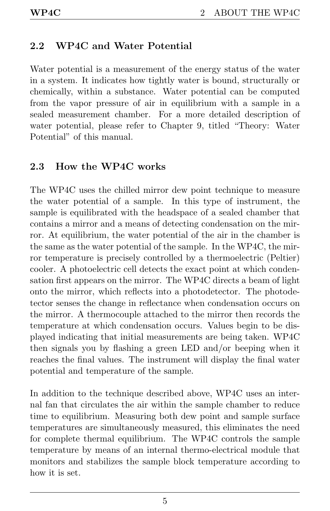# <span id="page-8-2"></span><span id="page-8-0"></span>2.2 WP4C and Water Potential

Water potential is a measurement of the energy status of the water in a system. It indicates how tightly water is bound, structurally or chemically, within a substance. Water potential can be computed from the vapor pressure of air in equilibrium with a sample in a sealed measurement chamber. For a more detailed description of water potential, please refer to Chapter 9, titled "Theory: Water Potential" of this manual.

#### <span id="page-8-1"></span>2.3 How the WP4C works

The WP4C uses the chilled mirror dew point technique to measure the water potential of a sample. In this type of instrument, the sample is equilibrated with the headspace of a sealed chamber that contains a mirror and a means of detecting condensation on the mirror. At equilibrium, the water potential of the air in the chamber is the same as the water potential of the sample. In the WP4C, the mirror temperature is precisely controlled by a thermoelectric (Peltier) cooler. A photoelectric cell detects the exact point at which condensation first appears on the mirror. The WP4C directs a beam of light onto the mirror, which reflects into a photodetector. The photodetector senses the change in reflectance when condensation occurs on the mirror. A thermocouple attached to the mirror then records the temperature at which condensation occurs. Values begin to be displayed indicating that initial measurements are being taken. WP4C then signals you by flashing a green LED and/or beeping when it reaches the final values. The instrument will display the final water potential and temperature of the sample.

In addition to the technique described above, WP4C uses an internal fan that circulates the air within the sample chamber to reduce time to equilibrium. Measuring both dew point and sample surface temperatures are simultaneously measured, this eliminates the need for complete thermal equilibrium. The WP4C controls the sample temperature by means of an internal thermo-electrical module that monitors and stabilizes the sample block temperature according to how it is set.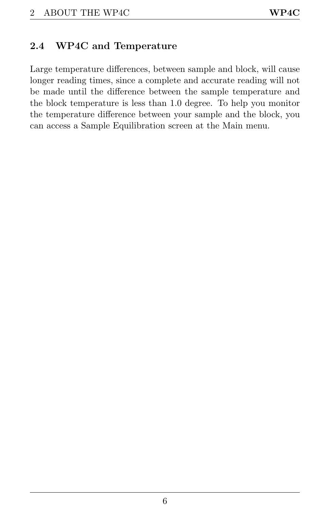## <span id="page-9-1"></span><span id="page-9-0"></span>2.4 WP4C and Temperature

Large temperature differences, between sample and block, will cause longer reading times, since a complete and accurate reading will not be made until the difference between the sample temperature and the block temperature is less than 1.0 degree. To help you monitor the temperature difference between your sample and the block, you can access a Sample Equilibration screen at the Main menu.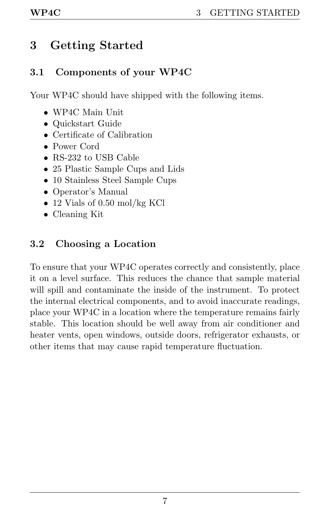# <span id="page-10-3"></span><span id="page-10-0"></span>3 Getting Started

# <span id="page-10-1"></span>3.1 Components of your WP4C

Your WP4C should have shipped with the following items.

- WP4C Main Unit
- Quickstart Guide
- Certificate of Calibration
- Power Cord
- RS-232 to USB Cable
- 25 Plastic Sample Cups and Lids
- 10 Stainless Steel Sample Cups
- Operator's Manual
- 12 Vials of 0.50 mol/kg KCl
- Cleaning Kit

# <span id="page-10-2"></span>3.2 Choosing a Location

To ensure that your WP4C operates correctly and consistently, place it on a level surface. This reduces the chance that sample material will spill and contaminate the inside of the instrument. To protect the internal electrical components, and to avoid inaccurate readings, place your WP4C in a location where the temperature remains fairly stable. This location should be well away from air conditioner and heater vents, open windows, outside doors, refrigerator exhausts, or other items that may cause rapid temperature fluctuation.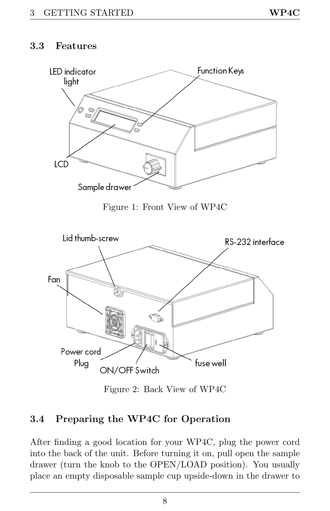#### <span id="page-11-2"></span><span id="page-11-0"></span>3.3 Features



Figure 1: Front View of WP4C



Figure 2: Back View of WP4C

## <span id="page-11-1"></span>3.4 Preparing the WP4C for Operation

After finding a good location for your WP4C, plug the power cord into the back of the unit. Before turning it on, pull open the sample drawer (turn the knob to the OPEN/LOAD position). You usually place an empty disposable sample cup upside-down in the drawer to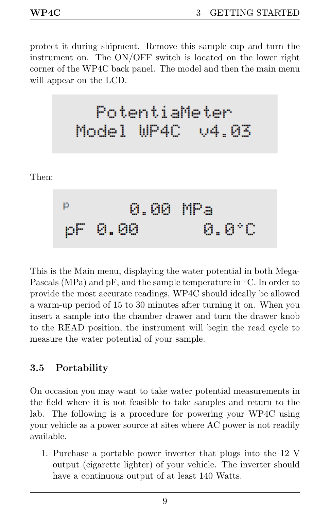Then:

<span id="page-12-1"></span>protect it during shipment. Remove this sample cup and turn the instrument on. The ON/OFF switch is located on the lower right corner of the WP4C back panel. The model and then the main menu will appear on the LCD.

This is the Main menu, displaying the water potential in both Mega-Pascals (MPa) and pF, and the sample temperature in ◦C. In order to provide the most accurate readings, WP4C should ideally be allowed a warm-up period of 15 to 30 minutes after turning it on. When you insert a sample into the chamber drawer and turn the drawer knob to the READ position, the instrument will begin the read cycle to measure the water potential of your sample.

## <span id="page-12-0"></span>3.5 Portability

On occasion you may want to take water potential measurements in the field where it is not feasible to take samples and return to the lab. The following is a procedure for powering your WP4C using your vehicle as a power source at sites where AC power is not readily available.

1. Purchase a portable power inverter that plugs into the 12 V output (cigarette lighter) of your vehicle. The inverter should have a continuous output of at least 140 Watts.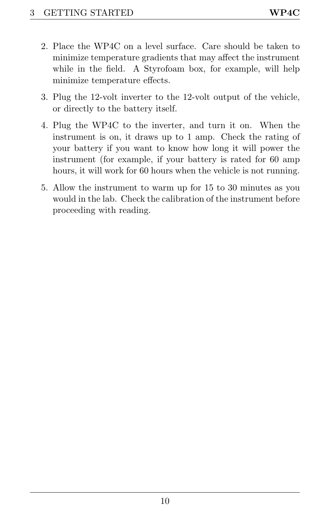- <span id="page-13-0"></span>2. Place the WP4C on a level surface. Care should be taken to minimize temperature gradients that may affect the instrument while in the field. A Styrofoam box, for example, will help minimize temperature effects.
- 3. Plug the 12-volt inverter to the 12-volt output of the vehicle, or directly to the battery itself.
- 4. Plug the WP4C to the inverter, and turn it on. When the instrument is on, it draws up to 1 amp. Check the rating of your battery if you want to know how long it will power the instrument (for example, if your battery is rated for 60 amp hours, it will work for 60 hours when the vehicle is not running.
- 5. Allow the instrument to warm up for 15 to 30 minutes as you would in the lab. Check the calibration of the instrument before proceeding with reading.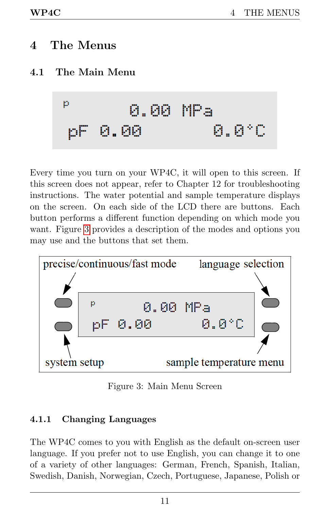# <span id="page-14-4"></span><span id="page-14-0"></span>4 The Menus

# <span id="page-14-1"></span>4.1 The Main Menu

$$
\begin{array}{cc}\n P & 0.00 \text{ MPa} \\
pF & 0.00 & 0.010\n\end{array}
$$

Every time you turn on your WP4C, it will open to this screen. If this screen does not appear, refer to Chapter 12 for troubleshooting instructions. The water potential and sample temperature displays on the screen. On each side of the LCD there are buttons. Each button performs a different function depending on which mode you want. Figure [3](#page-14-3) provides a description of the modes and options you may use and the buttons that set them.

<span id="page-14-3"></span>

Figure 3: Main Menu Screen

#### <span id="page-14-2"></span>4.1.1 Changing Languages

The WP4C comes to you with English as the default on-screen user language. If you prefer not to use English, you can change it to one of a variety of other languages: German, French, Spanish, Italian, Swedish, Danish, Norwegian, Czech, Portuguese, Japanese, Polish or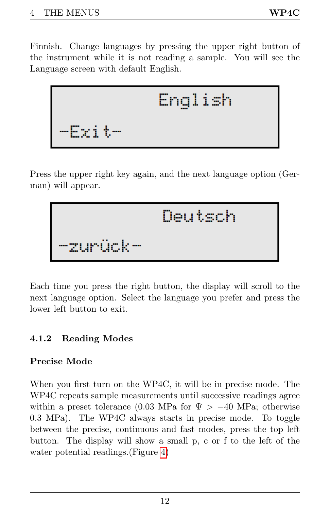<span id="page-15-1"></span>Finnish. Change languages by pressing the upper right button of the instrument while it is not reading a sample. You will see the Language screen with default English.

Press the upper right key again, and the next language option (German) will appear.

Each time you press the right button, the display will scroll to the next language option. Select the language you prefer and press the lower left button to exit.

## <span id="page-15-0"></span>4.1.2 Reading Modes

## Precise Mode

When you first turn on the WP4C, it will be in precise mode. The WP4C repeats sample measurements until successive readings agree within a preset tolerance (0.03 MPa for  $\Psi > -40$  MPa; otherwise 0.3 MPa). The WP4C always starts in precise mode. To toggle between the precise, continuous and fast modes, press the top left button. The display will show a small p, c or f to the left of the water potential readings.(Figure [4\)](#page-16-0)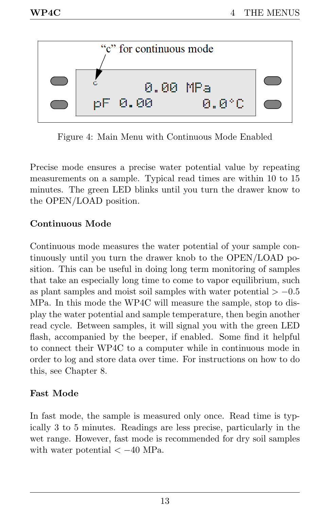<span id="page-16-1"></span><span id="page-16-0"></span>

Figure 4: Main Menu with Continuous Mode Enabled

Precise mode ensures a precise water potential value by repeating measurements on a sample. Typical read times are within 10 to 15 minutes. The green LED blinks until you turn the drawer know to the OPEN/LOAD position.

#### Continuous Mode

Continuous mode measures the water potential of your sample continuously until you turn the drawer knob to the OPEN/LOAD position. This can be useful in doing long term monitoring of samples that take an especially long time to come to vapor equilibrium, such as plant samples and moist soil samples with water potential  $> -0.5$ MPa. In this mode the WP4C will measure the sample, stop to display the water potential and sample temperature, then begin another read cycle. Between samples, it will signal you with the green LED flash, accompanied by the beeper, if enabled. Some find it helpful to connect their WP4C to a computer while in continuous mode in order to log and store data over time. For instructions on how to do this, see Chapter 8.

#### Fast Mode

In fast mode, the sample is measured only once. Read time is typically 3 to 5 minutes. Readings are less precise, particularly in the wet range. However, fast mode is recommended for dry soil samples with water potential  $<-40$  MPa.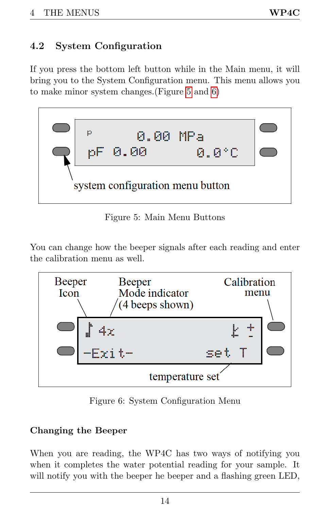# <span id="page-17-3"></span><span id="page-17-0"></span>4.2 System Configuration

If you press the bottom left button while in the Main menu, it will bring you to the System Configuration menu. This menu allows you to make minor system changes.(Figure [5](#page-17-1) and [6\)](#page-17-2)

<span id="page-17-1"></span>

Figure 5: Main Menu Buttons

You can change how the beeper signals after each reading and enter the calibration menu as well.

<span id="page-17-2"></span>

Figure 6: System Configuration Menu

#### Changing the Beeper

When you are reading, the WP4C has two ways of notifying you when it completes the water potential reading for your sample. It will notify you with the beeper he beeper and a flashing green LED,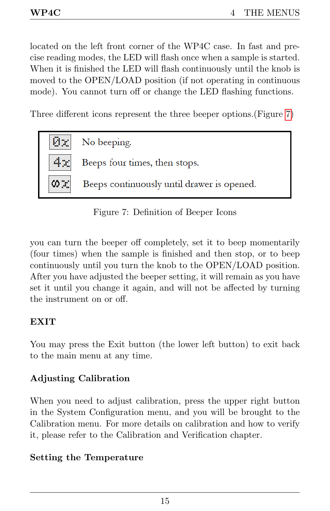<span id="page-18-1"></span>located on the left front corner of the WP4C case. In fast and precise reading modes, the LED will flash once when a sample is started. When it is finished the LED will flash continuously until the knob is moved to the OPEN/LOAD position (if not operating in continuous mode). You cannot turn off or change the LED flashing functions.

Three different icons represent the three beeper options.(Figure [7\)](#page-18-0)

<span id="page-18-0"></span>

Figure 7: Definition of Beeper Icons

you can turn the beeper off completely, set it to beep momentarily (four times) when the sample is finished and then stop, or to beep continuously until you turn the knob to the OPEN/LOAD position. After you have adjusted the beeper setting, it will remain as you have set it until you change it again, and will not be affected by turning the instrument on or off.

#### EXIT

You may press the Exit button (the lower left button) to exit back to the main menu at any time.

## Adjusting Calibration

When you need to adjust calibration, press the upper right button in the System Configuration menu, and you will be brought to the Calibration menu. For more details on calibration and how to verify it, please refer to the Calibration and Verification chapter.

## Setting the Temperature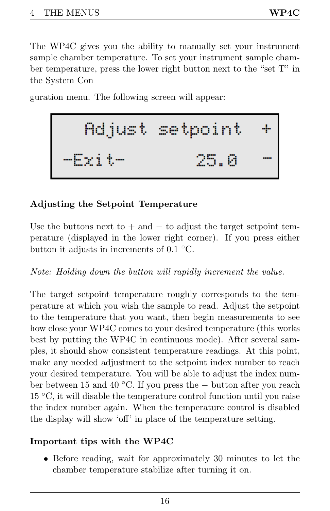<span id="page-19-0"></span>The WP4C gives you the ability to manually set your instrument sample chamber temperature. To set your instrument sample chamber temperature, press the lower right button next to the "set T" in the System Con

guration menu. The following screen will appear:

## Adjusting the Setpoint Temperature

Use the buttons next to  $+$  and  $-$  to adjust the target setpoint temperature (displayed in the lower right corner). If you press either button it adjusts in increments of 0.1 ◦C.

Note: Holding down the button will rapidly increment the value.

The target setpoint temperature roughly corresponds to the temperature at which you wish the sample to read. Adjust the setpoint to the temperature that you want, then begin measurements to see how close your WP4C comes to your desired temperature (this works best by putting the WP4C in continuous mode). After several samples, it should show consistent temperature readings. At this point, make any needed adjustment to the setpoint index number to reach your desired temperature. You will be able to adjust the index number between 15 and 40 ◦C. If you press the − button after you reach 15 ◦C, it will disable the temperature control function until you raise the index number again. When the temperature control is disabled the display will show 'off' in place of the temperature setting.

## Important tips with the WP4C

• Before reading, wait for approximately 30 minutes to let the chamber temperature stabilize after turning it on.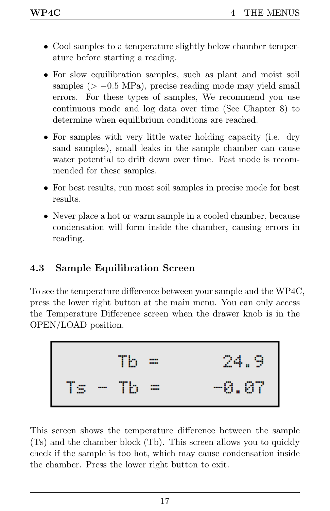- <span id="page-20-1"></span>• Cool samples to a temperature slightly below chamber temperature before starting a reading.
- For slow equilibration samples, such as plant and moist soil samples ( $> -0.5$  MPa), precise reading mode may yield small errors. For these types of samples, We recommend you use continuous mode and log data over time (See Chapter 8) to determine when equilibrium conditions are reached.
- For samples with very little water holding capacity (i.e. dry sand samples), small leaks in the sample chamber can cause water potential to drift down over time. Fast mode is recommended for these samples.
- For best results, run most soil samples in precise mode for best results.
- Never place a hot or warm sample in a cooled chamber, because condensation will form inside the chamber, causing errors in reading.

# <span id="page-20-0"></span>4.3 Sample Equilibration Screen

To see the temperature difference between your sample and the WP4C, press the lower right button at the main menu. You can only access the Temperature Difference screen when the drawer knob is in the OPEN/LOAD position.

$$
T_s - Tb = 24.9
$$
  

$$
T_s - Tb = -0.07
$$

This screen shows the temperature difference between the sample (Ts) and the chamber block (Tb). This screen allows you to quickly check if the sample is too hot, which may cause condensation inside the chamber. Press the lower right button to exit.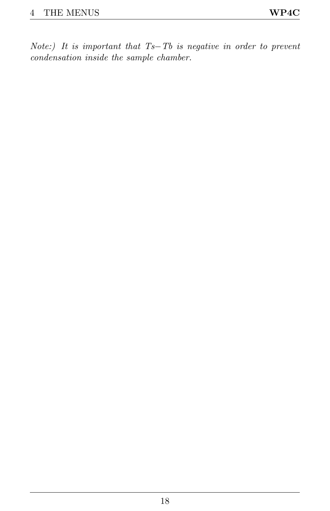Note:) It is important that Ts−Tb is negative in order to prevent condensation inside the sample chamber.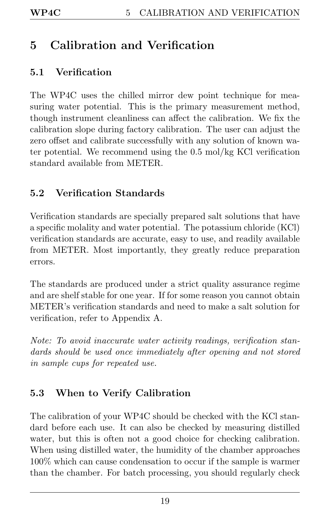# <span id="page-22-4"></span><span id="page-22-0"></span>5 Calibration and Verification

# <span id="page-22-1"></span>5.1 Verification

The WP4C uses the chilled mirror dew point technique for measuring water potential. This is the primary measurement method, though instrument cleanliness can affect the calibration. We fix the calibration slope during factory calibration. The user can adjust the zero offset and calibrate successfully with any solution of known water potential. We recommend using the 0.5 mol/kg KCl verification standard available from METER.

# <span id="page-22-2"></span>5.2 Verification Standards

Verification standards are specially prepared salt solutions that have a specific molality and water potential. The potassium chloride (KCl) verification standards are accurate, easy to use, and readily available from METER. Most importantly, they greatly reduce preparation errors.

The standards are produced under a strict quality assurance regime and are shelf stable for one year. If for some reason you cannot obtain METER's verification standards and need to make a salt solution for verification, refer to Appendix A.

Note: To avoid inaccurate water activity readings, verification standards should be used once immediately after opening and not stored in sample cups for repeated use.

# <span id="page-22-3"></span>5.3 When to Verify Calibration

The calibration of your WP4C should be checked with the KCl standard before each use. It can also be checked by measuring distilled water, but this is often not a good choice for checking calibration. When using distilled water, the humidity of the chamber approaches 100% which can cause condensation to occur if the sample is warmer than the chamber. For batch processing, you should regularly check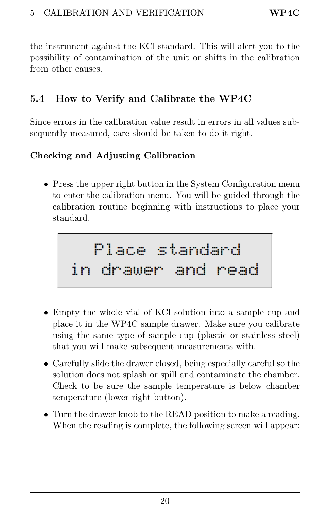<span id="page-23-1"></span>the instrument against the KCl standard. This will alert you to the possibility of contamination of the unit or shifts in the calibration from other causes.

# <span id="page-23-0"></span>5.4 How to Verify and Calibrate the WP4C

Since errors in the calibration value result in errors in all values subsequently measured, care should be taken to do it right.

## Checking and Adjusting Calibration

• Press the upper right button in the System Configuration menu to enter the calibration menu. You will be guided through the calibration routine beginning with instructions to place your standard.

- Empty the whole vial of KCl solution into a sample cup and place it in the WP4C sample drawer. Make sure you calibrate using the same type of sample cup (plastic or stainless steel) that you will make subsequent measurements with.
- Carefully slide the drawer closed, being especially careful so the solution does not splash or spill and contaminate the chamber. Check to be sure the sample temperature is below chamber temperature (lower right button).
- Turn the drawer knob to the READ position to make a reading. When the reading is complete, the following screen will appear: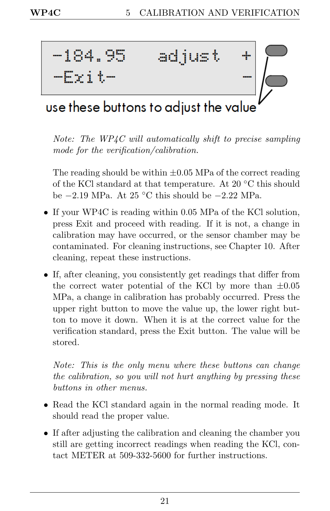

# use these buttons to adjust the value

Note: The WP4C will automatically shift to precise sampling mode for the verification/calibration.

The reading should be within  $\pm 0.05$  MPa of the correct reading of the KCl standard at that temperature. At 20 ◦C this should be −2.19 MPa. At 25 ◦C this should be −2.22 MPa.

- If your WP4C is reading within 0.05 MPa of the KCl solution, press Exit and proceed with reading. If it is not, a change in calibration may have occurred, or the sensor chamber may be contaminated. For cleaning instructions, see Chapter 10. After cleaning, repeat these instructions.
- If, after cleaning, you consistently get readings that differ from the correct water potential of the KCl by more than  $\pm 0.05$ MPa, a change in calibration has probably occurred. Press the upper right button to move the value up, the lower right button to move it down. When it is at the correct value for the verification standard, press the Exit button. The value will be stored.

Note: This is the only menu where these buttons can change the calibration, so you will not hurt anything by pressing these buttons in other menus.

- Read the KCl standard again in the normal reading mode. It should read the proper value.
- If after adjusting the calibration and cleaning the chamber you still are getting incorrect readings when reading the KCl, contact METER at 509-332-5600 for further instructions.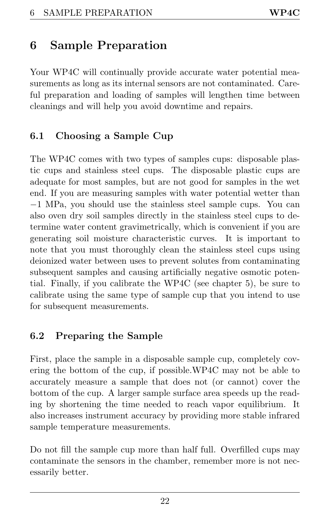# <span id="page-25-3"></span><span id="page-25-0"></span>6 Sample Preparation

Your WP4C will continually provide accurate water potential measurements as long as its internal sensors are not contaminated. Careful preparation and loading of samples will lengthen time between cleanings and will help you avoid downtime and repairs.

# <span id="page-25-1"></span>6.1 Choosing a Sample Cup

The WP4C comes with two types of samples cups: disposable plastic cups and stainless steel cups. The disposable plastic cups are adequate for most samples, but are not good for samples in the wet end. If you are measuring samples with water potential wetter than −1 MPa, you should use the stainless steel sample cups. You can also oven dry soil samples directly in the stainless steel cups to determine water content gravimetrically, which is convenient if you are generating soil moisture characteristic curves. It is important to note that you must thoroughly clean the stainless steel cups using deionized water between uses to prevent solutes from contaminating subsequent samples and causing artificially negative osmotic potential. Finally, if you calibrate the WP4C (see chapter 5), be sure to calibrate using the same type of sample cup that you intend to use for subsequent measurements.

## <span id="page-25-2"></span>6.2 Preparing the Sample

First, place the sample in a disposable sample cup, completely covering the bottom of the cup, if possible.WP4C may not be able to accurately measure a sample that does not (or cannot) cover the bottom of the cup. A larger sample surface area speeds up the reading by shortening the time needed to reach vapor equilibrium. It also increases instrument accuracy by providing more stable infrared sample temperature measurements.

Do not fill the sample cup more than half full. Overfilled cups may contaminate the sensors in the chamber, remember more is not necessarily better.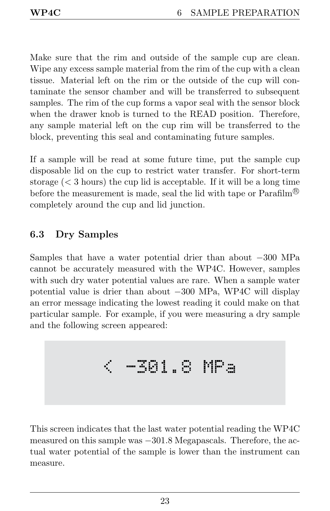<span id="page-26-1"></span>Make sure that the rim and outside of the sample cup are clean. Wipe any excess sample material from the rim of the cup with a clean tissue. Material left on the rim or the outside of the cup will contaminate the sensor chamber and will be transferred to subsequent samples. The rim of the cup forms a vapor seal with the sensor block when the drawer knob is turned to the READ position. Therefore, any sample material left on the cup rim will be transferred to the block, preventing this seal and contaminating future samples.

If a sample will be read at some future time, put the sample cup disposable lid on the cup to restrict water transfer. For short-term storage  $(< 3$  hours) the cup lid is acceptable. If it will be a long time before the measurement is made, seal the lid with tape or  $\mathrm{Parafilm}^{\mathfrak{B}}$ completely around the cup and lid junction.

# <span id="page-26-0"></span>6.3 Dry Samples

Samples that have a water potential drier than about −300 MPa cannot be accurately measured with the WP4C. However, samples with such dry water potential values are rare. When a sample water potential value is drier than about −300 MPa, WP4C will display an error message indicating the lowest reading it could make on that particular sample. For example, if you were measuring a dry sample and the following screen appeared:

$$
\leftarrow\texttt{301.8 MPa}
$$

This screen indicates that the last water potential reading the WP4C measured on this sample was −301.8 Megapascals. Therefore, the actual water potential of the sample is lower than the instrument can measure.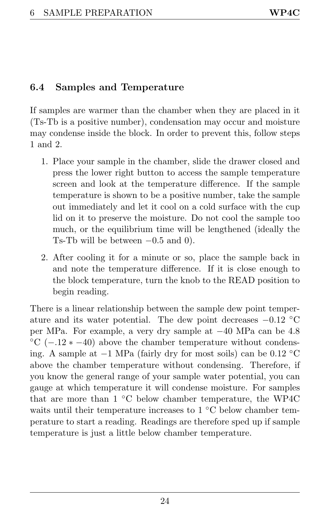# <span id="page-27-1"></span><span id="page-27-0"></span>6.4 Samples and Temperature

If samples are warmer than the chamber when they are placed in it (Ts-Tb is a positive number), condensation may occur and moisture may condense inside the block. In order to prevent this, follow steps 1 and 2.

- 1. Place your sample in the chamber, slide the drawer closed and press the lower right button to access the sample temperature screen and look at the temperature difference. If the sample temperature is shown to be a positive number, take the sample out immediately and let it cool on a cold surface with the cup lid on it to preserve the moisture. Do not cool the sample too much, or the equilibrium time will be lengthened (ideally the Ts-Tb will be between  $-0.5$  and 0).
- 2. After cooling it for a minute or so, place the sample back in and note the temperature difference. If it is close enough to the block temperature, turn the knob to the READ position to begin reading.

There is a linear relationship between the sample dew point temperature and its water potential. The dew point decreases  $-0.12$  °C per MPa. For example, a very dry sample at −40 MPa can be 4.8  $°C$  (-.12  $\ast$  -40) above the chamber temperature without condensing. A sample at −1 MPa (fairly dry for most soils) can be 0.12 ◦C above the chamber temperature without condensing. Therefore, if you know the general range of your sample water potential, you can gauge at which temperature it will condense moisture. For samples that are more than 1 ◦C below chamber temperature, the WP4C waits until their temperature increases to 1 °C below chamber temperature to start a reading. Readings are therefore sped up if sample temperature is just a little below chamber temperature.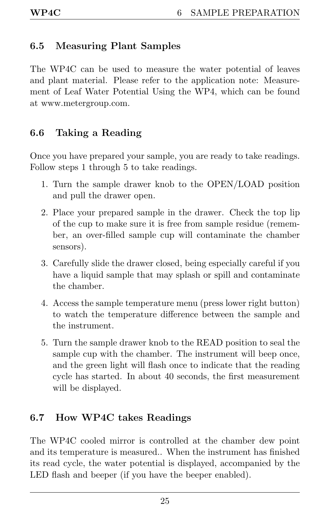# <span id="page-28-3"></span><span id="page-28-0"></span>6.5 Measuring Plant Samples

The WP4C can be used to measure the water potential of leaves and plant material. Please refer to the application note: Measurement of Leaf Water Potential Using the WP4, which can be found at www.metergroup.com.

# <span id="page-28-1"></span>6.6 Taking a Reading

Once you have prepared your sample, you are ready to take readings. Follow steps 1 through 5 to take readings.

- 1. Turn the sample drawer knob to the OPEN/LOAD position and pull the drawer open.
- 2. Place your prepared sample in the drawer. Check the top lip of the cup to make sure it is free from sample residue (remember, an over-filled sample cup will contaminate the chamber sensors).
- 3. Carefully slide the drawer closed, being especially careful if you have a liquid sample that may splash or spill and contaminate the chamber.
- 4. Access the sample temperature menu (press lower right button) to watch the temperature difference between the sample and the instrument.
- 5. Turn the sample drawer knob to the READ position to seal the sample cup with the chamber. The instrument will beep once, and the green light will flash once to indicate that the reading cycle has started. In about 40 seconds, the first measurement will be displayed.

# <span id="page-28-2"></span>6.7 How WP4C takes Readings

The WP4C cooled mirror is controlled at the chamber dew point and its temperature is measured.. When the instrument has finished its read cycle, the water potential is displayed, accompanied by the LED flash and beeper (if you have the beeper enabled).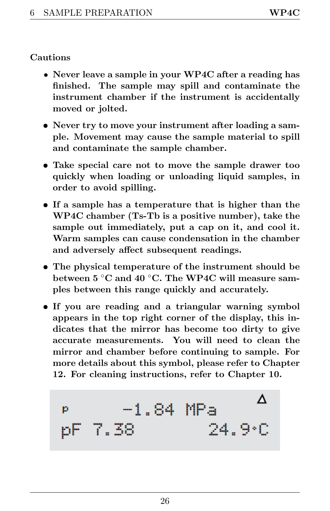#### <span id="page-29-0"></span>Cautions

- Never leave a sample in your WP4C after a reading has finished. The sample may spill and contaminate the instrument chamber if the instrument is accidentally moved or jolted.
- Never try to move your instrument after loading a sample. Movement may cause the sample material to spill and contaminate the sample chamber.
- Take special care not to move the sample drawer too quickly when loading or unloading liquid samples, in order to avoid spilling.
- If a sample has a temperature that is higher than the WP4C chamber (Ts-Tb is a positive number), take the sample out immediately, put a cap on it, and cool it. Warm samples can cause condensation in the chamber and adversely affect subsequent readings.
- The physical temperature of the instrument should be between 5 ◦C and 40 ◦C. The WP4C will measure samples between this range quickly and accurately.
- If you are reading and a triangular warning symbol appears in the top right corner of the display, this indicates that the mirror has become too dirty to give accurate measurements. You will need to clean the mirror and chamber before continuing to sample. For more details about this symbol, please refer to Chapter 12. For cleaning instructions, refer to Chapter 10.

$$
p = -1.84 MPa
$$
\n
$$
pF = 7.38
$$
\n
$$
p = 24.9°C
$$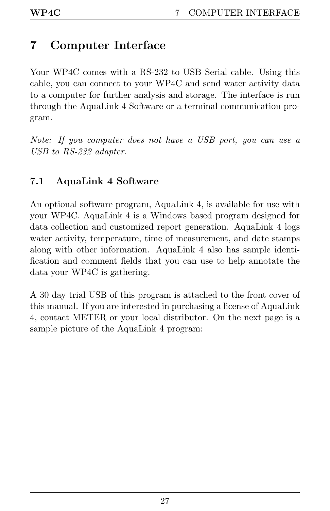# <span id="page-30-2"></span><span id="page-30-0"></span>7 Computer Interface

Your WP4C comes with a RS-232 to USB Serial cable. Using this cable, you can connect to your WP4C and send water activity data to a computer for further analysis and storage. The interface is run through the AquaLink 4 Software or a terminal communication program.

Note: If you computer does not have a USB port, you can use a USB to RS-232 adapter.

## <span id="page-30-1"></span>7.1 AquaLink 4 Software

An optional software program, AquaLink 4, is available for use with your WP4C. AquaLink 4 is a Windows based program designed for data collection and customized report generation. AquaLink 4 logs water activity, temperature, time of measurement, and date stamps along with other information. AquaLink 4 also has sample identification and comment fields that you can use to help annotate the data your WP4C is gathering.

A 30 day trial USB of this program is attached to the front cover of this manual. If you are interested in purchasing a license of AquaLink 4, contact METER or your local distributor. On the next page is a sample picture of the AquaLink 4 program: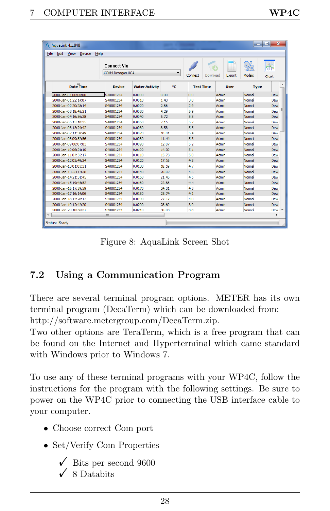<span id="page-31-1"></span>

| $\overline{\mathbf{x}}$<br>a.<br>$\blacksquare$<br>A<br>AquaLink 4.1.848 |                                      |                    |                       |       |                     |        |        |             |                          |
|--------------------------------------------------------------------------|--------------------------------------|--------------------|-----------------------|-------|---------------------|--------|--------|-------------|--------------------------|
| <b>Edit View Device</b><br>File<br>Help                                  |                                      |                    |                       |       |                     |        |        |             |                          |
|                                                                          |                                      | <b>Connect Via</b> |                       |       |                     |        |        |             |                          |
|                                                                          |                                      | COM4 Decagon UCA   |                       | ▼     | Download<br>Connect | Export | Models | Chart       |                          |
|                                                                          | $\blacktriangle$<br><b>Date Time</b> | Device             | <b>Water Activity</b> | ۰c    | <b>Test Time</b>    | User   | Type   |             | ۸                        |
|                                                                          | 2000-Jan-0100:00:00                  | S40001234          | 0.0000                | 0.00  | 0.0                 | Admin  | Normal | <b>Dew</b>  |                          |
|                                                                          | 2000-Jan-01 22:14:07                 | S40001234          | 0.0010                | 1.43  | 3.0                 | Admin  | Normal | Dev         |                          |
|                                                                          | 2000-Jan-02 20:28:14                 | S40001234          | 0.0020                | 2.86  | 2.9                 | Admin  | Normal | <b>Dev</b>  |                          |
|                                                                          | 2000-Jan-03 18:42:21                 | S40001234          | 0.0030                | 4.29  | 5.9                 | Admin  | Normal | Dew         | Ξ                        |
|                                                                          | 2000-Jan-04 16:56:28                 | S40001234          | 0.0040                | 5.72  | 5.8                 | Admin  | Normal | Dew         |                          |
|                                                                          | 2000-Jan-05 15:10:35                 | S40001234          | 0.0050                | 7.15  | 5.7                 | Admin  | Normal | Dew         |                          |
|                                                                          | 2000-Jan-06 13:24:42                 | S40001234          | 0.0060                | 8.58  | 5.5                 | Admin  | Normal | Dev         |                          |
|                                                                          | 2000-Jan-07 11:38:49                 | S40001234          | 0.0070                | 10.01 | 5.4                 | Admin  | Normal | Dew         |                          |
|                                                                          | 2000-Jan-08 09:52:56                 | S40001234          | 0.0080                | 11.44 | 5.3                 | Admin  | Normal | Dew         |                          |
|                                                                          | 2000-Jan-09 08:07:03                 | S40001234          | 0.0090                | 12.87 | 5.2                 | Admin  | Normal | Dew         |                          |
|                                                                          | 2000-Jan-10 06:21:10                 | S40001234          | 0.0100                | 14.30 | 5.1                 | Admin  | Normal | Dew         |                          |
|                                                                          | 2000-lan-1104:35:17                  | S40001234          | 0.0110                | 15.73 | 5.0                 | Admin  | Normal | <b>Dev</b>  |                          |
|                                                                          | 2000-Jan-1202:49:24                  | S40001234          | 0.0120                | 17.16 | 4.8                 | Admin  | Normal | Dew         |                          |
|                                                                          | 2000-lan-1301:03:31                  | S40001234          | 0.0130                | 18.59 | 4.7                 | Admin  | Normal | Dew         |                          |
|                                                                          | 2000-Jan-13 23:17:38                 | S40001234          | 0.0140                | 20.02 | 4.6                 | Admin  | Normal | Dev         |                          |
|                                                                          | 2000-Jan-14 21:31:45                 | S40001234          | 0.0150                | 21.45 | 4.5                 | Admin  | Normal | Dew         |                          |
|                                                                          | 2000-Jan-15 19:45:52                 | S40001234          | 0.0160                | 22.88 | 4.4                 | Admin  | Normal | Dev         |                          |
|                                                                          | 2000-Jan-16 17:59:59                 | S40001234          | 0.0170                | 24.31 | 4.3                 | Admin  | Normal | Dew         |                          |
|                                                                          | 2000-Jan-17 16:14:06                 | S40001234          | 0.0180                | 25.74 | 4.1                 | Admin  | Normal | Dev         |                          |
|                                                                          | 2000-Jan-18 14:28:13                 | 540001234          | 0.0190                | 27.17 | 4.0                 | Admin  | Normal | <b>Devr</b> |                          |
|                                                                          | 2000-lan-19 12:42:20                 | S40001234          | 0.0200                | 28.60 | 3.9                 | Admin  | Normal | <b>Devi</b> |                          |
|                                                                          | 2000-Jan-20 10:56:27                 | S40001234          | 0.0210                | 30.03 | 3.8                 | Admin  | Normal | Dew I       | $\overline{\phantom{a}}$ |
| €                                                                        |                                      | m                  |                       |       |                     |        |        | ٠           |                          |
| Status: Readv                                                            |                                      |                    |                       |       |                     |        |        |             |                          |

Figure 8: AquaLink Screen Shot

# <span id="page-31-0"></span>7.2 Using a Communication Program

There are several terminal program options. METER has its own terminal program (DecaTerm) which can be downloaded from: http://software.metergroup.com/DecaTerm.zip.

Two other options are TeraTerm, which is a free program that can be found on the Internet and Hyperterminal which came standard with Windows prior to Windows 7.

To use any of these terminal programs with your WP4C, follow the instructions for the program with the following settings. Be sure to power on the WP4C prior to connecting the USB interface cable to your computer.

- Choose correct Com port
- Set/Verify Com Properties
	- $\checkmark$  Bits per second 9600  $\checkmark$  8 Databits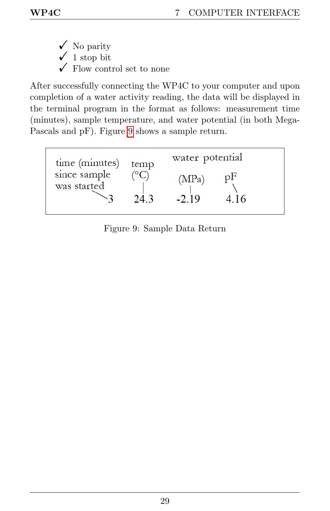- $\checkmark$  No parity
- $\checkmark$  1 stop bit
- $\checkmark$  Flow control set to none

After successfully connecting the WP4C to your computer and upon completion of a water activity reading, the data will be displayed in the terminal program in the format as follows: measurement time (minutes), sample temperature, and water potential (in both Mega-Pascals and pF). Figure [9](#page-32-0) shows a sample return.

<span id="page-32-0"></span>

| time (minutes)              | temp<br>243 | water potential |     |  |
|-----------------------------|-------------|-----------------|-----|--|
| since sample<br>was started |             | (MPa)<br>$-219$ | 416 |  |

Figure 9: Sample Data Return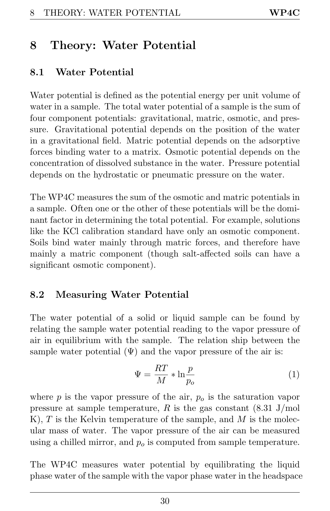# <span id="page-33-3"></span><span id="page-33-0"></span>8 Theory: Water Potential

# <span id="page-33-1"></span>8.1 Water Potential

Water potential is defined as the potential energy per unit volume of water in a sample. The total water potential of a sample is the sum of four component potentials: gravitational, matric, osmotic, and pressure. Gravitational potential depends on the position of the water in a gravitational field. Matric potential depends on the adsorptive forces binding water to a matrix. Osmotic potential depends on the concentration of dissolved substance in the water. Pressure potential depends on the hydrostatic or pneumatic pressure on the water.

The WP4C measures the sum of the osmotic and matric potentials in a sample. Often one or the other of these potentials will be the dominant factor in determining the total potential. For example, solutions like the KCl calibration standard have only an osmotic component. Soils bind water mainly through matric forces, and therefore have mainly a matric component (though salt-affected soils can have a significant osmotic component).

## <span id="page-33-2"></span>8.2 Measuring Water Potential

The water potential of a solid or liquid sample can be found by relating the sample water potential reading to the vapor pressure of air in equilibrium with the sample. The relation ship between the sample water potential  $(\Psi)$  and the vapor pressure of the air is:

$$
\Psi = \frac{RT}{M} * \ln \frac{p}{p_o} \tag{1}
$$

where  $p$  is the vapor pressure of the air,  $p<sub>o</sub>$  is the saturation vapor pressure at sample temperature, R is the gas constant  $(8.31 \text{ J/mol})$ K), T is the Kelvin temperature of the sample, and  $M$  is the molecular mass of water. The vapor pressure of the air can be measured using a chilled mirror, and  $p<sub>o</sub>$  is computed from sample temperature.

The WP4C measures water potential by equilibrating the liquid phase water of the sample with the vapor phase water in the headspace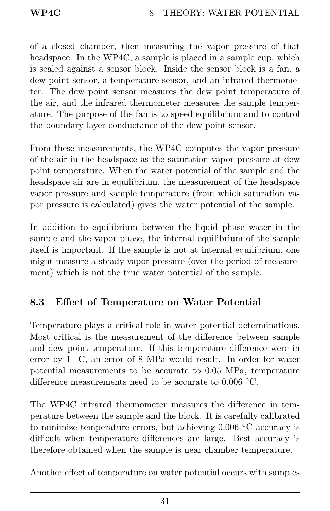<span id="page-34-1"></span>of a closed chamber, then measuring the vapor pressure of that headspace. In the WP4C, a sample is placed in a sample cup, which is sealed against a sensor block. Inside the sensor block is a fan, a dew point sensor, a temperature sensor, and an infrared thermometer. The dew point sensor measures the dew point temperature of the air, and the infrared thermometer measures the sample temperature. The purpose of the fan is to speed equilibrium and to control the boundary layer conductance of the dew point sensor.

From these measurements, the WP4C computes the vapor pressure of the air in the headspace as the saturation vapor pressure at dew point temperature. When the water potential of the sample and the headspace air are in equilibrium, the measurement of the headspace vapor pressure and sample temperature (from which saturation vapor pressure is calculated) gives the water potential of the sample.

In addition to equilibrium between the liquid phase water in the sample and the vapor phase, the internal equilibrium of the sample itself is important. If the sample is not at internal equilibrium, one might measure a steady vapor pressure (over the period of measurement) which is not the true water potential of the sample.

# <span id="page-34-0"></span>8.3 Effect of Temperature on Water Potential

Temperature plays a critical role in water potential determinations. Most critical is the measurement of the difference between sample and dew point temperature. If this temperature difference were in error by 1 ◦C, an error of 8 MPa would result. In order for water potential measurements to be accurate to 0.05 MPa, temperature difference measurements need to be accurate to 0.006 ◦C.

The WP4C infrared thermometer measures the difference in temperature between the sample and the block. It is carefully calibrated to minimize temperature errors, but achieving 0.006 ◦C accuracy is difficult when temperature differences are large. Best accuracy is therefore obtained when the sample is near chamber temperature.

Another effect of temperature on water potential occurs with samples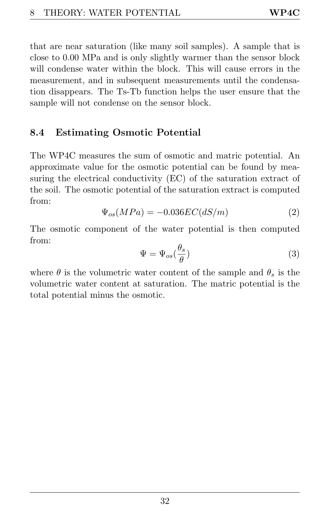<span id="page-35-1"></span>that are near saturation (like many soil samples). A sample that is close to 0.00 MPa and is only slightly warmer than the sensor block will condense water within the block. This will cause errors in the measurement, and in subsequent measurements until the condensation disappears. The Ts-Tb function helps the user ensure that the sample will not condense on the sensor block.

## <span id="page-35-0"></span>8.4 Estimating Osmotic Potential

The WP4C measures the sum of osmotic and matric potential. An approximate value for the osmotic potential can be found by measuring the electrical conductivity (EC) of the saturation extract of the soil. The osmotic potential of the saturation extract is computed from:

$$
\Psi_{os}(MPa) = -0.036EC(dS/m) \tag{2}
$$

The osmotic component of the water potential is then computed from:

$$
\Psi = \Psi_{os}(\frac{\theta_s}{\theta})\tag{3}
$$

where  $\theta$  is the volumetric water content of the sample and  $\theta_s$  is the volumetric water content at saturation. The matric potential is the total potential minus the osmotic.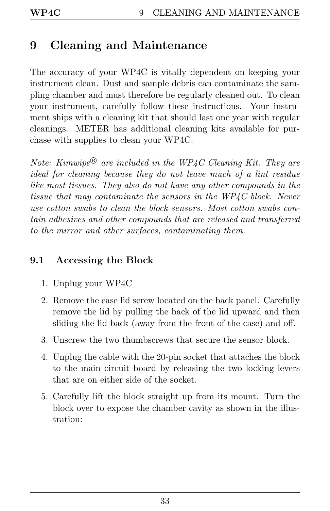# <span id="page-36-2"></span><span id="page-36-0"></span>9 Cleaning and Maintenance

The accuracy of your WP4C is vitally dependent on keeping your instrument clean. Dust and sample debris can contaminate the sampling chamber and must therefore be regularly cleaned out. To clean your instrument, carefully follow these instructions. Your instrument ships with a cleaning kit that should last one year with regular cleanings. METER has additional cleaning kits available for purchase with supplies to clean your WP4C.

Note: Kimwipe $^{\circledR}$  are included in the WP4C Cleaning Kit. They are ideal for cleaning because they do not leave much of a lint residue like most tissues. They also do not have any other compounds in the tissue that may contaminate the sensors in the WP4C block. Never use cotton swabs to clean the block sensors. Most cotton swabs contain adhesives and other compounds that are released and transferred to the mirror and other surfaces, contaminating them.

## <span id="page-36-1"></span>9.1 Accessing the Block

- 1. Unplug your WP4C
- 2. Remove the case lid screw located on the back panel. Carefully remove the lid by pulling the back of the lid upward and then sliding the lid back (away from the front of the case) and off.
- 3. Unscrew the two thumbscrews that secure the sensor block.
- 4. Unplug the cable with the 20-pin socket that attaches the block to the main circuit board by releasing the two locking levers that are on either side of the socket.
- 5. Carefully lift the block straight up from its mount. Turn the block over to expose the chamber cavity as shown in the illustration: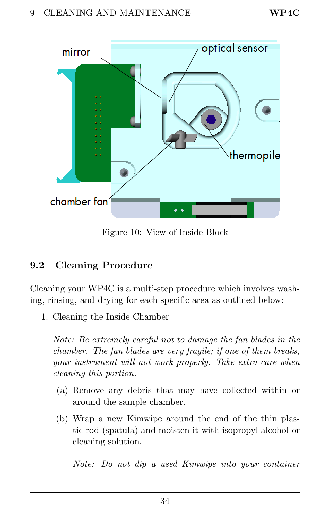<span id="page-37-1"></span>

Figure 10: View of Inside Block

# <span id="page-37-0"></span>9.2 Cleaning Procedure

Cleaning your WP4C is a multi-step procedure which involves washing, rinsing, and drying for each specific area as outlined below:

1. Cleaning the Inside Chamber

Note: Be extremely careful not to damage the fan blades in the chamber. The fan blades are very fragile; if one of them breaks, your instrument will not work properly. Take extra care when cleaning this portion.

- (a) Remove any debris that may have collected within or around the sample chamber.
- (b) Wrap a new Kimwipe around the end of the thin plastic rod (spatula) and moisten it with isopropyl alcohol or cleaning solution.

Note: Do not dip a used Kimwipe into your container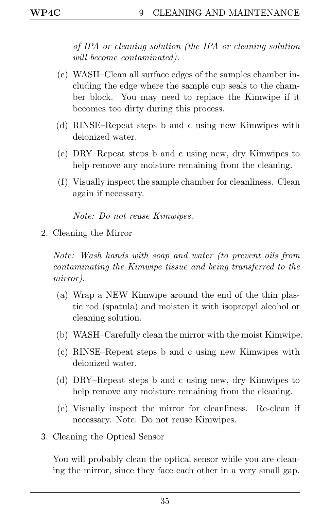<span id="page-38-0"></span>of IPA or cleaning solution (the IPA or cleaning solution will become contaminated).

- (c) WASH–Clean all surface edges of the samples chamber including the edge where the sample cup seals to the chamber block. You may need to replace the Kimwipe if it becomes too dirty during this process.
- (d) RINSE–Repeat steps b and c using new Kimwipes with deionized water.
- (e) DRY–Repeat steps b and c using new, dry Kimwipes to help remove any moisture remaining from the cleaning.
- (f) Visually inspect the sample chamber for cleanliness. Clean again if necessary.

Note: Do not reuse Kimwipes.

2. Cleaning the Mirror

Note: Wash hands with soap and water (to prevent oils from contaminating the Kimwipe tissue and being transferred to the mirror).

- (a) Wrap a NEW Kimwipe around the end of the thin plastic rod (spatula) and moisten it with isopropyl alcohol or cleaning solution.
- (b) WASH–Carefully clean the mirror with the moist Kimwipe.
- (c) RINSE–Repeat steps b and c using new Kimwipes with deionized water.
- (d) DRY–Repeat steps b and c using new, dry Kimwipes to help remove any moisture remaining from the cleaning.
- (e) Visually inspect the mirror for cleanliness. Re-clean if necessary. Note: Do not reuse Kimwipes.
- 3. Cleaning the Optical Sensor

You will probably clean the optical sensor while you are cleaning the mirror, since they face each other in a very small gap.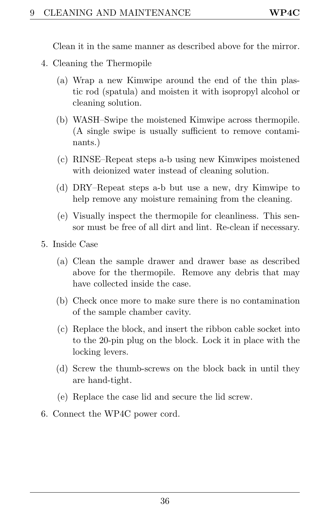<span id="page-39-0"></span>Clean it in the same manner as described above for the mirror.

- 4. Cleaning the Thermopile
	- (a) Wrap a new Kimwipe around the end of the thin plastic rod (spatula) and moisten it with isopropyl alcohol or cleaning solution.
	- (b) WASH–Swipe the moistened Kimwipe across thermopile. (A single swipe is usually sufficient to remove contaminants.)
	- (c) RINSE–Repeat steps a-b using new Kimwipes moistened with deionized water instead of cleaning solution.
	- (d) DRY–Repeat steps a-b but use a new, dry Kimwipe to help remove any moisture remaining from the cleaning.
	- (e) Visually inspect the thermopile for cleanliness. This sensor must be free of all dirt and lint. Re-clean if necessary.
- 5. Inside Case
	- (a) Clean the sample drawer and drawer base as described above for the thermopile. Remove any debris that may have collected inside the case.
	- (b) Check once more to make sure there is no contamination of the sample chamber cavity.
	- (c) Replace the block, and insert the ribbon cable socket into to the 20-pin plug on the block. Lock it in place with the locking levers.
	- (d) Screw the thumb-screws on the block back in until they are hand-tight.
	- (e) Replace the case lid and secure the lid screw.
- 6. Connect the WP4C power cord.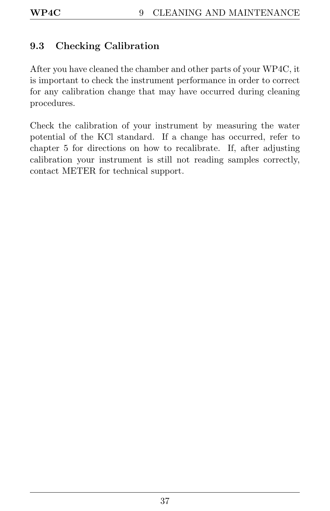# <span id="page-40-1"></span><span id="page-40-0"></span>9.3 Checking Calibration

After you have cleaned the chamber and other parts of your WP4C, it is important to check the instrument performance in order to correct for any calibration change that may have occurred during cleaning procedures.

Check the calibration of your instrument by measuring the water potential of the KCl standard. If a change has occurred, refer to chapter 5 for directions on how to recalibrate. If, after adjusting calibration your instrument is still not reading samples correctly, contact METER for technical support.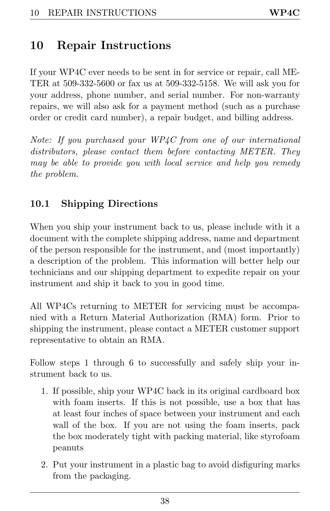# <span id="page-41-2"></span><span id="page-41-0"></span>10 Repair Instructions

If your WP4C ever needs to be sent in for service or repair, call ME-TER at 509-332-5600 or fax us at 509-332-5158. We will ask you for your address, phone number, and serial number. For non-warranty repairs, we will also ask for a payment method (such as a purchase order or credit card number), a repair budget, and billing address.

Note: If you purchased your WP4C from one of our international distributors, please contact them before contacting METER. They may be able to provide you with local service and help you remedy the problem.

# <span id="page-41-1"></span>10.1 Shipping Directions

When you ship your instrument back to us, please include with it a document with the complete shipping address, name and department of the person responsible for the instrument, and (most importantly) a description of the problem. This information will better help our technicians and our shipping department to expedite repair on your instrument and ship it back to you in good time.

All WP4Cs returning to METER for servicing must be accompanied with a Return Material Authorization (RMA) form. Prior to shipping the instrument, please contact a METER customer support representative to obtain an RMA.

Follow steps 1 through 6 to successfully and safely ship your instrument back to us.

- 1. If possible, ship your WP4C back in its original cardboard box with foam inserts. If this is not possible, use a box that has at least four inches of space between your instrument and each wall of the box. If you are not using the foam inserts, pack the box moderately tight with packing material, like styrofoam peanuts
- 2. Put your instrument in a plastic bag to avoid disfiguring marks from the packaging.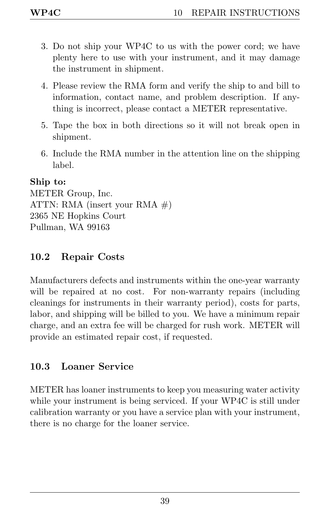- <span id="page-42-2"></span>3. Do not ship your WP4C to us with the power cord; we have plenty here to use with your instrument, and it may damage the instrument in shipment.
- 4. Please review the RMA form and verify the ship to and bill to information, contact name, and problem description. If anything is incorrect, please contact a METER representative.
- 5. Tape the box in both directions so it will not break open in shipment.
- 6. Include the RMA number in the attention line on the shipping label.

#### Ship to:

METER Group, Inc. ATTN: RMA (insert your RMA  $#$ ) 2365 NE Hopkins Court Pullman, WA 99163

## <span id="page-42-0"></span>10.2 Repair Costs

Manufacturers defects and instruments within the one-year warranty will be repaired at no cost. For non-warranty repairs (including cleanings for instruments in their warranty period), costs for parts, labor, and shipping will be billed to you. We have a minimum repair charge, and an extra fee will be charged for rush work. METER will provide an estimated repair cost, if requested.

## <span id="page-42-1"></span>10.3 Loaner Service

METER has loaner instruments to keep you measuring water activity while your instrument is being serviced. If your WP4C is still under calibration warranty or you have a service plan with your instrument, there is no charge for the loaner service.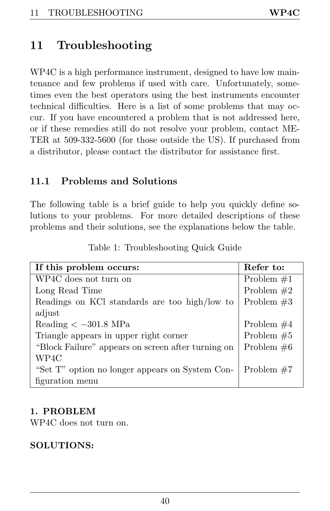# <span id="page-43-2"></span><span id="page-43-0"></span>11 Troubleshooting

WP4C is a high performance instrument, designed to have low maintenance and few problems if used with care. Unfortunately, sometimes even the best operators using the best instruments encounter technical difficulties. Here is a list of some problems that may occur. If you have encountered a problem that is not addressed here, or if these remedies still do not resolve your problem, contact ME-TER at 509-332-5600 (for those outside the US). If purchased from a distributor, please contact the distributor for assistance first.

## <span id="page-43-1"></span>11.1 Problems and Solutions

The following table is a brief guide to help you quickly define solutions to your problems. For more detailed descriptions of these problems and their solutions, see the explanations below the table.

| If this problem occurs:                            | Refer to:    |
|----------------------------------------------------|--------------|
| WP4C does not turn on                              | Problem $#1$ |
| Long Read Time                                     | Problem $#2$ |
| Readings on KCl standards are too high/low to      | Problem $#3$ |
| adjust                                             |              |
| Reading $<-301.8$ MPa                              | Problem $#4$ |
| Triangle appears in upper right corner             | Problem $#5$ |
| "Block Failure" appears on screen after turning on | Problem $#6$ |
| WP4C                                               |              |
| "Set T" option no longer appears on System Con-    | Problem $#7$ |
| figuration menu                                    |              |

Table 1: Troubleshooting Quick Guide

#### 1. PROBLEM

WP4C does not turn on.

#### SOLUTIONS: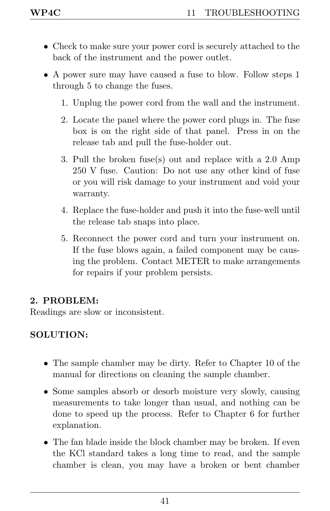- <span id="page-44-0"></span>• Check to make sure your power cord is securely attached to the back of the instrument and the power outlet.
- A power sure may have caused a fuse to blow. Follow steps 1 through 5 to change the fuses.
	- 1. Unplug the power cord from the wall and the instrument.
	- 2. Locate the panel where the power cord plugs in. The fuse box is on the right side of that panel. Press in on the release tab and pull the fuse-holder out.
	- 3. Pull the broken fuse(s) out and replace with a 2.0 Amp 250 V fuse. Caution: Do not use any other kind of fuse or you will risk damage to your instrument and void your warranty.
	- 4. Replace the fuse-holder and push it into the fuse-well until the release tab snaps into place.
	- 5. Reconnect the power cord and turn your instrument on. If the fuse blows again, a failed component may be causing the problem. Contact METER to make arrangements for repairs if your problem persists.

## 2. PROBLEM:

Readings are slow or inconsistent.

#### SOLUTION:

- The sample chamber may be dirty. Refer to Chapter 10 of the manual for directions on cleaning the sample chamber.
- Some samples absorb or desorb moisture very slowly, causing measurements to take longer than usual, and nothing can be done to speed up the process. Refer to Chapter 6 for further explanation.
- The fan blade inside the block chamber may be broken. If even the KCl standard takes a long time to read, and the sample chamber is clean, you may have a broken or bent chamber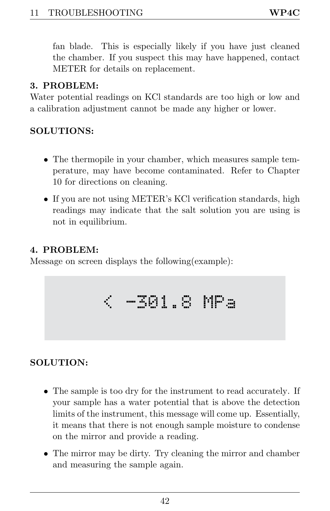<span id="page-45-0"></span>fan blade. This is especially likely if you have just cleaned the chamber. If you suspect this may have happened, contact METER for details on replacement.

#### 3. PROBLEM:

Water potential readings on KCl standards are too high or low and a calibration adjustment cannot be made any higher or lower.

#### SOLUTIONS:

- The thermopile in your chamber, which measures sample temperature, may have become contaminated. Refer to Chapter 10 for directions on cleaning.
- If you are not using METER's KCl verification standards, high readings may indicate that the salt solution you are using is not in equilibrium.

#### 4. PROBLEM:

Message on screen displays the following(example):

$$
\langle -301.8 \text{ MPa} \rangle
$$

## SOLUTION:

- The sample is too dry for the instrument to read accurately. If your sample has a water potential that is above the detection limits of the instrument, this message will come up. Essentially, it means that there is not enough sample moisture to condense on the mirror and provide a reading.
- The mirror may be dirty. Try cleaning the mirror and chamber and measuring the sample again.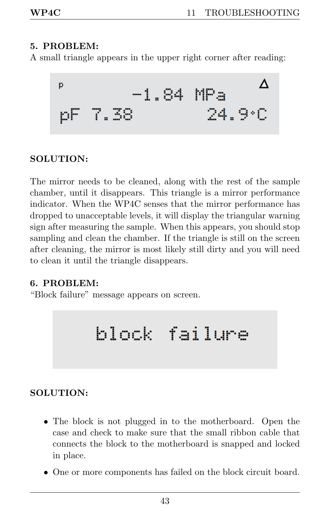#### <span id="page-46-0"></span>5. PROBLEM:

A small triangle appears in the upper right corner after reading:



#### SOLUTION:

The mirror needs to be cleaned, along with the rest of the sample chamber, until it disappears. This triangle is a mirror performance indicator. When the WP4C senses that the mirror performance has dropped to unacceptable levels, it will display the triangular warning sign after measuring the sample. When this appears, you should stop sampling and clean the chamber. If the triangle is still on the screen after cleaning, the mirror is most likely still dirty and you will need to clean it until the triangle disappears.

#### 6. PROBLEM:

"Block failure" message appears on screen.

# block failure

#### SOLUTION:

- The block is not plugged in to the motherboard. Open the case and check to make sure that the small ribbon cable that connects the block to the motherboard is snapped and locked in place.
- One or more components has failed on the block circuit board.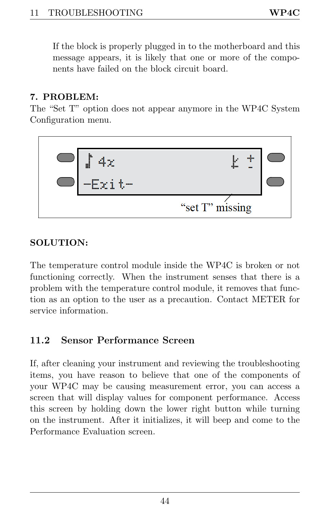<span id="page-47-1"></span>If the block is properly plugged in to the motherboard and this message appears, it is likely that one or more of the components have failed on the block circuit board.

#### 7. PROBLEM:

The "Set T" option does not appear anymore in the WP4C System Configuration menu.



#### SOLUTION:

The temperature control module inside the WP4C is broken or not functioning correctly. When the instrument senses that there is a problem with the temperature control module, it removes that function as an option to the user as a precaution. Contact METER for service information.

## <span id="page-47-0"></span>11.2 Sensor Performance Screen

If, after cleaning your instrument and reviewing the troubleshooting items, you have reason to believe that one of the components of your WP4C may be causing measurement error, you can access a screen that will display values for component performance. Access this screen by holding down the lower right button while turning on the instrument. After it initializes, it will beep and come to the Performance Evaluation screen.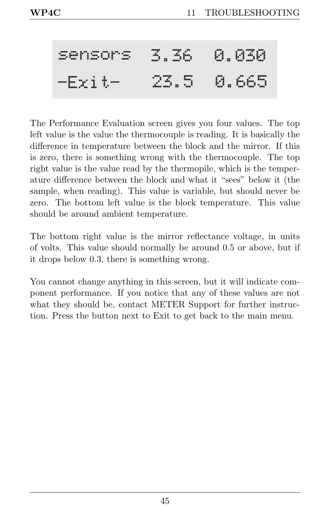#### 3.36 A.A3A Sensors 8.665  $-Fri+$ 23.5

The Performance Evaluation screen gives you four values. The top left value is the value the thermocouple is reading. It is basically the difference in temperature between the block and the mirror. If this is zero, there is something wrong with the thermocouple. The top right value is the value read by the thermopile, which is the temperature difference between the block and what it "sees" below it (the sample, when reading). This value is variable, but should never be zero. The bottom left value is the block temperature. This value should be around ambient temperature.

The bottom right value is the mirror reflectance voltage, in units of volts. This value should normally be around 0.5 or above, but if it drops below 0.3, there is something wrong.

You cannot change anything in this screen, but it will indicate component performance. If you notice that any of these values are not what they should be, contact METER Support for further instruction. Press the button next to Exit to get back to the main menu.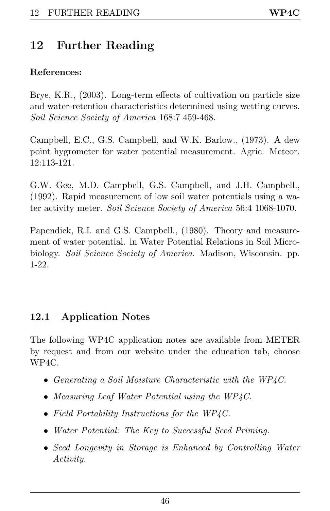# <span id="page-49-2"></span><span id="page-49-0"></span>12 Further Reading

#### References:

Brye, K.R., (2003). Long-term effects of cultivation on particle size and water-retention characteristics determined using wetting curves. Soil Science Society of America 168:7 459-468.

Campbell, E.C., G.S. Campbell, and W.K. Barlow., (1973). A dew point hygrometer for water potential measurement. Agric. Meteor. 12:113-121.

G.W. Gee, M.D. Campbell, G.S. Campbell, and J.H. Campbell., (1992). Rapid measurement of low soil water potentials using a water activity meter. Soil Science Society of America 56:4 1068-1070.

Papendick, R.I. and G.S. Campbell., (1980). Theory and measurement of water potential. in Water Potential Relations in Soil Microbiology. Soil Science Society of America. Madison, Wisconsin. pp. 1-22.

# <span id="page-49-1"></span>12.1 Application Notes

The following WP4C application notes are available from METER by request and from our website under the education tab, choose WP4C.

- Generating a Soil Moisture Characteristic with the WP4C.
- Measuring Leaf Water Potential using the WP4C.
- Field Portability Instructions for the WP4C.
- Water Potential: The Key to Successful Seed Priming.
- Seed Longevity in Storage is Enhanced by Controlling Water Activity.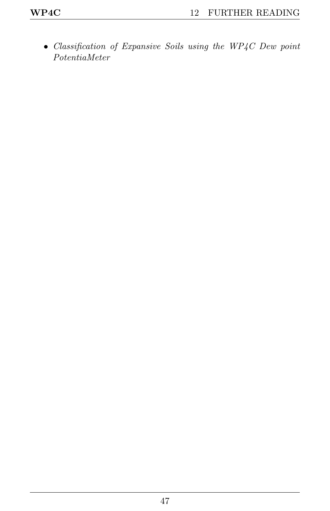• Classification of Expansive Soils using the WP4C Dew point PotentiaMeter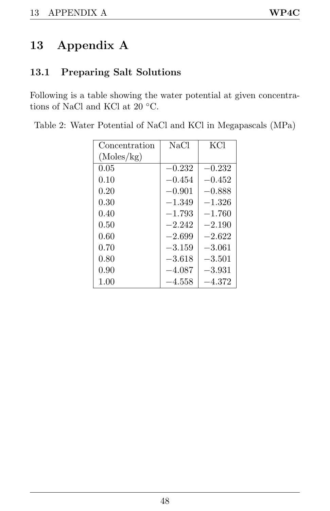# <span id="page-51-2"></span><span id="page-51-0"></span>13 Appendix A

# <span id="page-51-1"></span>13.1 Preparing Salt Solutions

Following is a table showing the water potential at given concentrations of NaCl and KCl at 20  $^{\circ}{\rm C}.$ 

| Concentration | NaCl     | KCl      |
|---------------|----------|----------|
| (Moles/kg)    |          |          |
| 0.05          | $-0.232$ | $-0.232$ |
| 0.10          | $-0.454$ | $-0.452$ |
| 0.20          | $-0.901$ | $-0.888$ |
| 0.30          | $-1.349$ | $-1.326$ |
| 0.40          | $-1.793$ | $-1.760$ |
| 0.50          | $-2.242$ | $-2.190$ |
| 0.60          | $-2.699$ | $-2.622$ |
| 0.70          | $-3.159$ | $-3.061$ |
| 0.80          | $-3.618$ | $-3.501$ |
| 0.90          | $-4.087$ | $-3.931$ |
| 1.00          | $-4.558$ | $-4.372$ |

Table 2: Water Potential of NaCl and KCl in Megapascals (MPa)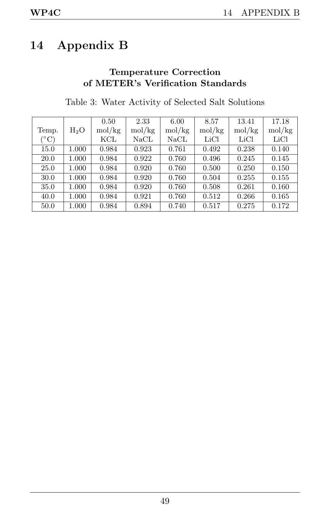# <span id="page-52-0"></span>14 Appendix B

#### Temperature Correction of METER's Verification Standards

|                      |        | 0.50   | 2.33   | 6.00   | 8.57   | 13.41  | 17.18  |
|----------------------|--------|--------|--------|--------|--------|--------|--------|
| Temp.                | $H_2O$ | mol/kg | mol/kg | mol/kg | mol/kg | mol/kg | mol/kg |
| $(^\circ\mathrm{C})$ |        | KCL    | NaCL   | NaCL   | LiCl   | LiCl   | LiCl   |
| 15.0                 | 1.000  | 0.984  | 0.923  | 0.761  | 0.492  | 0.238  | 0.140  |
| 20.0                 | 1.000  | 0.984  | 0.922  | 0.760  | 0.496  | 0.245  | 0.145  |
| 25.0                 | 1.000  | 0.984  | 0.920  | 0.760  | 0.500  | 0.250  | 0.150  |
| 30.0                 | 1.000  | 0.984  | 0.920  | 0.760  | 0.504  | 0.255  | 0.155  |
| 35.0                 | 1.000  | 0.984  | 0.920  | 0.760  | 0.508  | 0.261  | 0.160  |
| 40.0                 | 1.000  | 0.984  | 0.921  | 0.760  | 0.512  | 0.266  | 0.165  |
| 50.0                 | 1.000  | 0.984  | 0.894  | 0.740  | 0.517  | 0.275  | 0.172  |

Table 3: Water Activity of Selected Salt Solutions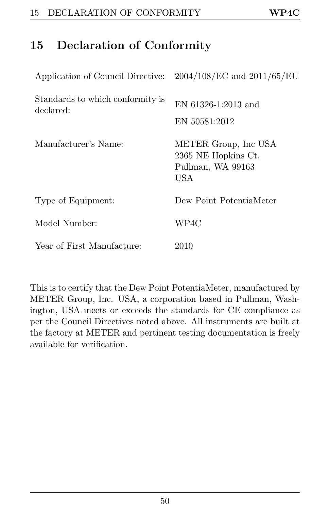# <span id="page-53-1"></span><span id="page-53-0"></span>15 Declaration of Conformity

| Application of Council Directive:             | $2004/108/EC$ and $2011/65/EU$                                                 |
|-----------------------------------------------|--------------------------------------------------------------------------------|
| Standards to which conformity is<br>declared: | EN $61326 - 1:2013$ and<br>EN 50581:2012                                       |
| Manufacturer's Name:                          | METER Group, Inc USA<br>2365 NE Hopkins Ct.<br>Pullman, WA 99163<br><b>USA</b> |
| Type of Equipment:                            | Dew Point PotentiaMeter                                                        |
| Model Number:                                 | WP4C                                                                           |
| Year of First Manufacture:                    | 2010                                                                           |

This is to certify that the Dew Point PotentiaMeter, manufactured by METER Group, Inc. USA, a corporation based in Pullman, Washington, USA meets or exceeds the standards for CE compliance as per the Council Directives noted above. All instruments are built at the factory at METER and pertinent testing documentation is freely available for verification.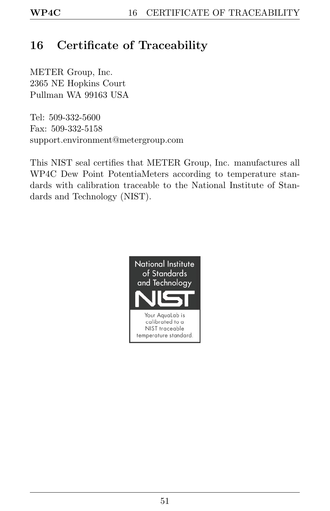# <span id="page-54-1"></span><span id="page-54-0"></span>16 Certificate of Traceability

METER Group, Inc. 2365 NE Hopkins Court Pullman WA 99163 USA

Tel: 509-332-5600 Fax: 509-332-5158 support.environment@metergroup.com

This NIST seal certifies that METER Group, Inc. manufactures all WP4C Dew Point PotentiaMeters according to temperature standards with calibration traceable to the National Institute of Standards and Technology (NIST).

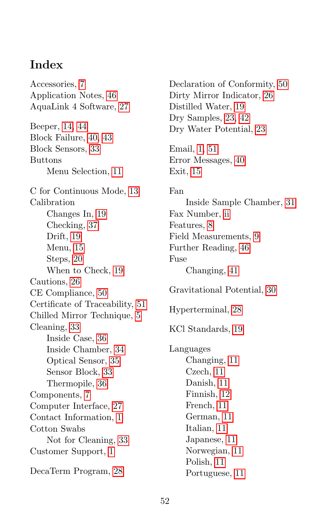# **Index**

Accessories, [7](#page-10-3) Application Notes, [46](#page-49-2) AquaLink 4 Software, [27](#page-30-2) Beeper, [14,](#page-17-3) [44](#page-47-1) Block Failure, [40,](#page-43-2) [43](#page-46-0) Block Sensors, [33](#page-36-2) Buttons Menu Selection, [11](#page-14-4) C for Continuous Mode, [13](#page-16-1) Calibration Changes In, [19](#page-22-4) Checking, [37](#page-40-1) Drift, [19](#page-22-4) Menu, [15](#page-18-1) Steps, [20](#page-23-1) When to Check, [19](#page-22-4) Cautions, [26](#page-29-0) CE Compliance, [50](#page-53-1) Certificate of Traceability, [51](#page-54-1) Chilled Mirror Technique, [5](#page-8-2) Cleaning, [33](#page-36-2) Inside Case, [36](#page-39-0) Inside Chamber, [34](#page-37-1) Optical Sensor, [35](#page-38-0) Sensor Block, [33](#page-36-2) Thermopile, [36](#page-39-0) Components, [7](#page-10-3) Computer Interface, [27](#page-30-2) Contact Information, [1](#page-4-2) Cotton Swabs Not for Cleaning, [33](#page-36-2) Customer Support, [1](#page-4-2) DecaTerm Program, [28](#page-31-1)

Dry Samples, [23,](#page-26-1) [42](#page-45-0) Dry Water Potential, [23](#page-26-1) Email, [1,](#page-4-2) [51](#page-54-1) Error Messages, [40](#page-43-2) Exit, [15](#page-18-1) Fan Inside Sample Chamber, [31](#page-34-1) Fax Number, [ii](#page-1-0) Features, [8](#page-11-2) Field Measurements, [9](#page-12-1) Further Reading, [46](#page-49-2) Fuse Changing, [41](#page-44-0) Gravitational Potential, [30](#page-33-3) Hyperterminal, [28](#page-31-1) KCl Standards, [19](#page-22-4) Languages Changing, [11](#page-14-4) Czech, [11](#page-14-4) Danish, [11](#page-14-4) Finnish, [12](#page-15-1) French, [11](#page-14-4) German, [11](#page-14-4) Italian, [11](#page-14-4) Japanese, [11](#page-14-4) Norwegian, [11](#page-14-4)

Declaration of Conformity, [50](#page-53-1) Dirty Mirror Indicator, [26](#page-29-0)

Distilled Water, [19](#page-22-4)

Polish, [11](#page-14-4) Portuguese, [11](#page-14-4)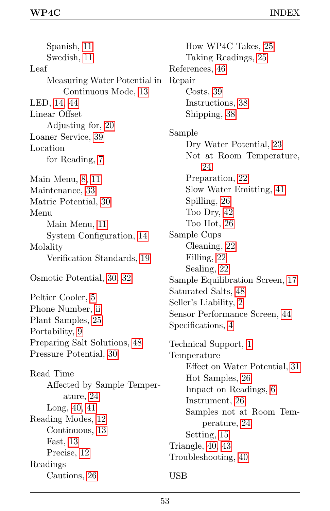Spanish, [11](#page-14-4) Swedish, [11](#page-14-4) Leaf Measuring Water Potential in Continuous Mode, [13](#page-16-1) LED, [14,](#page-17-3) [44](#page-47-1) Linear Offset Adjusting for, [20](#page-23-1) Loaner Service, [39](#page-42-2) Location for Reading, [7](#page-10-3) Main Menu, [8,](#page-11-2) [11](#page-14-4) Maintenance, [33](#page-36-2) Matric Potential, [30](#page-33-3) Menu Main Menu, [11](#page-14-4) System Configuration, [14](#page-17-3) Molality Verification Standards, [19](#page-22-4) Osmotic Potential, [30,](#page-33-3) [32](#page-35-1) Peltier Cooler, [5](#page-8-2) Phone Number, [ii](#page-1-0) Plant Samples, [25](#page-28-3) Portability, [9](#page-12-1) Preparing Salt Solutions, [48](#page-51-2) Pressure Potential, [30](#page-33-3) Read Time Affected by Sample Temperature, [24](#page-27-1) Long, [40,](#page-43-2) [41](#page-44-0) Reading Modes, [12](#page-15-1) Continuous, [13](#page-16-1) Fast, [13](#page-16-1) Precise, [12](#page-15-1) Readings Cautions, [26](#page-29-0)

How WP4C Takes, [25](#page-28-3) Taking Readings, [25](#page-28-3) References, [46](#page-49-2) Repair Costs, [39](#page-42-2) Instructions, [38](#page-41-2) Shipping, [38](#page-41-2) Sample Dry Water Potential, [23](#page-26-1) Not at Room Temperature, [24](#page-27-1) Preparation, [22](#page-25-3) Slow Water Emitting, [41](#page-44-0) Spilling, [26](#page-29-0) Too Dry, [42](#page-45-0) Too Hot, [26](#page-29-0) Sample Cups Cleaning, [22](#page-25-3) Filling, [22](#page-25-3) Sealing, [22](#page-25-3) Sample Equilibration Screen, [17](#page-20-1) Saturated Salts, [48](#page-51-2) Seller's Liability, [2](#page-5-3) Sensor Performance Screen, [44](#page-47-1) Specifications, [4](#page-7-3) Technical Support, [1](#page-4-2) Temperature Effect on Water Potential, [31](#page-34-1) Hot Samples, [26](#page-29-0) Impact on Readings, [6](#page-9-1) Instrument, [26](#page-29-0) Samples not at Room Temperature, [24](#page-27-1) Setting, [15](#page-18-1) Triangle, [40,](#page-43-2) [43](#page-46-0) Troubleshooting, [40](#page-43-2) USB

#### 53